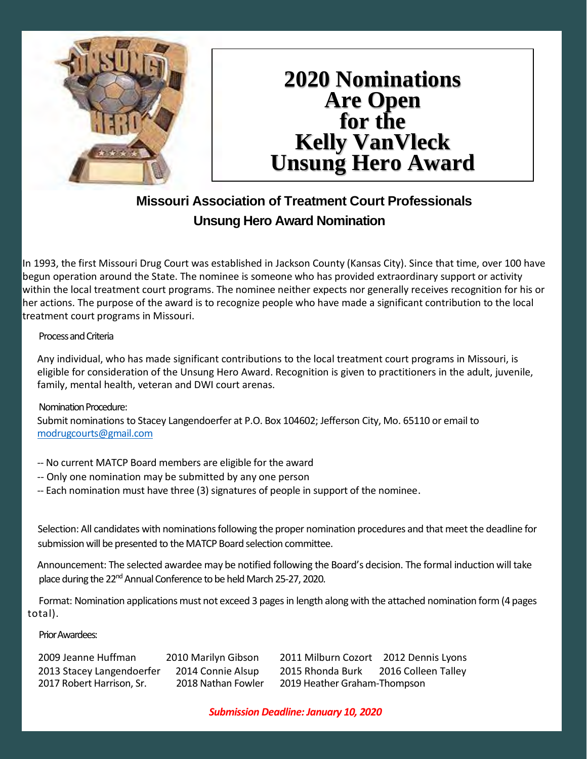

## **2020 Nominations Are Open for the Kelly VanVleck Unsung Hero Award**

### **Missouri Association of Treatment Court Professionals Unsung Hero Award Nomination**

In 1993, the first Missouri Drug Court was established in Jackson County (Kansas City). Since that time, over 100 have begun operation around the State. The nominee is someone who has provided extraordinary support or activity within the local treatment court programs. The nominee neither expects nor generally receives recognition for his or her actions. The purpose of the award is to recognize people who have made a significant contribution to the local treatment court programs in Missouri.

#### Process and Criteria

Any individual, who has made significant contributions to the local treatment court programs in Missouri, is eligible for consideration of the Unsung Hero Award. Recognition is given to practitioners in the adult, juvenile, family, mental health, veteran and DWI court arenas.

#### Nomination Procedure:

Submit nominations to Stacey Langendoerfer at P.O. Box 104602; Jefferson City, Mo. 65110 or email to [modrugcourts@gmail.com](mailto:modrugcourts@gmail.com)

- -- No current MATCP Board members are eligible for the award
- -- Only one nomination may be submitted by any one person
- -- Each nomination must have three (3) signatures of people in support of the nominee.

Selection: All candidates with nominations following the proper nomination procedures and that meet the deadline for submission will be presented to the MATCP Board selection committee.

Announcement: The selected awardee may be notified following the Board's decision. The formal induction will take place during the 22<sup>nd</sup> Annual Conference to be held March 25-27, 2020.

Format: Nomination applications must not exceed 3 pages in length along with the attached nomination form (4 pages total).

Prior Awardees:

2009 Jeanne Huffman 2010 Marilyn Gibson 2011 Milburn Cozort 2012 Dennis Lyons 2013 Stacey Langendoerfer 2014 Connie Alsup 2015 Rhonda Burk 2016 Colleen Talley 2017 Robert Harrison, Sr. 2018 Nathan Fowler 2019 Heather Graham-Thompson

*Submission Deadline: January 10, 2020*